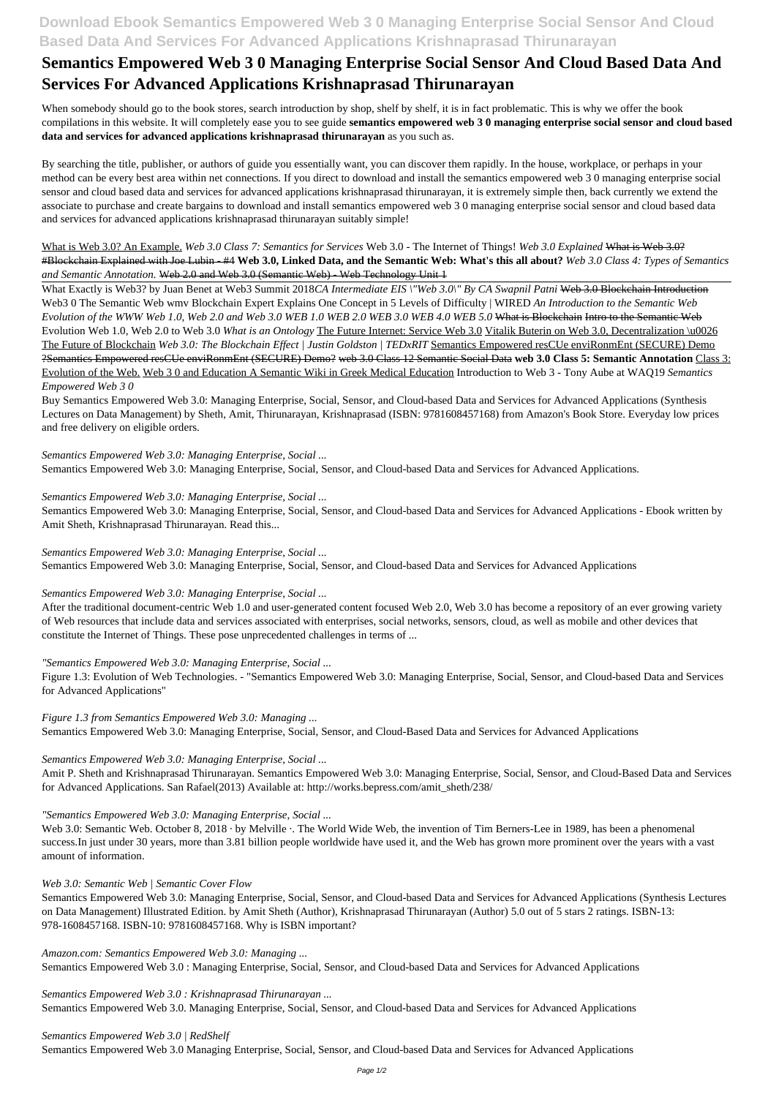# **Download Ebook Semantics Empowered Web 3 0 Managing Enterprise Social Sensor And Cloud Based Data And Services For Advanced Applications Krishnaprasad Thirunarayan**

# **Semantics Empowered Web 3 0 Managing Enterprise Social Sensor And Cloud Based Data And Services For Advanced Applications Krishnaprasad Thirunarayan**

When somebody should go to the book stores, search introduction by shop, shelf by shelf, it is in fact problematic. This is why we offer the book compilations in this website. It will completely ease you to see guide **semantics empowered web 3 0 managing enterprise social sensor and cloud based data and services for advanced applications krishnaprasad thirunarayan** as you such as.

By searching the title, publisher, or authors of guide you essentially want, you can discover them rapidly. In the house, workplace, or perhaps in your method can be every best area within net connections. If you direct to download and install the semantics empowered web 3 0 managing enterprise social sensor and cloud based data and services for advanced applications krishnaprasad thirunarayan, it is extremely simple then, back currently we extend the associate to purchase and create bargains to download and install semantics empowered web 3 0 managing enterprise social sensor and cloud based data and services for advanced applications krishnaprasad thirunarayan suitably simple!

What Exactly is Web3? by Juan Benet at Web3 Summit 2018*CA Intermediate EIS* \"Web 3.0\" By CA Swapnil Patni <del>Web 3.0 Blockchain Introduction</del> Web3 0 The Semantic Web wmv Blockchain Expert Explains One Concept in 5 Levels of Difficulty | WIRED *An Introduction to the Semantic Web Evolution of the WWW Web 1.0, Web 2.0 and Web 3.0 WEB 1.0 WEB 2.0 WEB 3.0 WEB 4.0 WEB 5.0* What is Blockchain Intro to the Semantic Web Evolution Web 1.0, Web 2.0 to Web 3.0 *What is an Ontology* The Future Internet: Service Web 3.0 Vitalik Buterin on Web 3.0, Decentralization \u0026 The Future of Blockchain *Web 3.0: The Blockchain Effect | Justin Goldston | TEDxRIT* Semantics Empowered resCUe enviRonmEnt (SECURE) Demo ?Semantics Empowered resCUe enviRonmEnt (SECURE) Demo? web 3.0 Class 12 Semantic Social Data **web 3.0 Class 5: Semantic Annotation** Class 3: Evolution of the Web. Web 3 0 and Education A Semantic Wiki in Greek Medical Education Introduction to Web 3 - Tony Aube at WAQ19 *Semantics Empowered Web 3 0*

What is Web 3.0? An Example. *Web 3.0 Class 7: Semantics for Services* Web 3.0 - The Internet of Things! *Web 3.0 Explained* What is Web 3.0? #Blockchain Explained with Joe Lubin - #4 **Web 3.0, Linked Data, and the Semantic Web: What's this all about?** *Web 3.0 Class 4: Types of Semantics and Semantic Annotation.* Web 2.0 and Web 3.0 (Semantic Web) - Web Technology Unit 1

Web 3.0: Semantic Web. October 8, 2018 · by Melville ·. The World Wide Web, the invention of Tim Berners-Lee in 1989, has been a phenomenal success.In just under 30 years, more than 3.81 billion people worldwide have used it, and the Web has grown more prominent over the years with a vast amount of information.

Buy Semantics Empowered Web 3.0: Managing Enterprise, Social, Sensor, and Cloud-based Data and Services for Advanced Applications (Synthesis Lectures on Data Management) by Sheth, Amit, Thirunarayan, Krishnaprasad (ISBN: 9781608457168) from Amazon's Book Store. Everyday low prices and free delivery on eligible orders.

*Semantics Empowered Web 3.0: Managing Enterprise, Social ...* Semantics Empowered Web 3.0: Managing Enterprise, Social, Sensor, and Cloud-based Data and Services for Advanced Applications.

*Semantics Empowered Web 3.0: Managing Enterprise, Social ...*

Semantics Empowered Web 3.0: Managing Enterprise, Social, Sensor, and Cloud-based Data and Services for Advanced Applications - Ebook written by Amit Sheth, Krishnaprasad Thirunarayan. Read this...

*Semantics Empowered Web 3.0: Managing Enterprise, Social ...*

Semantics Empowered Web 3.0: Managing Enterprise, Social, Sensor, and Cloud-based Data and Services for Advanced Applications

*Semantics Empowered Web 3.0: Managing Enterprise, Social ...*

After the traditional document-centric Web 1.0 and user-generated content focused Web 2.0, Web 3.0 has become a repository of an ever growing variety of Web resources that include data and services associated with enterprises, social networks, sensors, cloud, as well as mobile and other devices that constitute the Internet of Things. These pose unprecedented challenges in terms of ...

*"Semantics Empowered Web 3.0: Managing Enterprise, Social ...*

Figure 1.3: Evolution of Web Technologies. - "Semantics Empowered Web 3.0: Managing Enterprise, Social, Sensor, and Cloud-based Data and Services for Advanced Applications"

*Figure 1.3 from Semantics Empowered Web 3.0: Managing ...*

Semantics Empowered Web 3.0: Managing Enterprise, Social, Sensor, and Cloud-Based Data and Services for Advanced Applications

*Semantics Empowered Web 3.0: Managing Enterprise, Social ...*

Amit P. Sheth and Krishnaprasad Thirunarayan. Semantics Empowered Web 3.0: Managing Enterprise, Social, Sensor, and Cloud-Based Data and Services for Advanced Applications. San Rafael(2013) Available at: http://works.bepress.com/amit\_sheth/238/

*"Semantics Empowered Web 3.0: Managing Enterprise, Social ...*

#### *Web 3.0: Semantic Web | Semantic Cover Flow*

Semantics Empowered Web 3.0: Managing Enterprise, Social, Sensor, and Cloud-based Data and Services for Advanced Applications (Synthesis Lectures on Data Management) Illustrated Edition. by Amit Sheth (Author), Krishnaprasad Thirunarayan (Author) 5.0 out of 5 stars 2 ratings. ISBN-13: 978-1608457168. ISBN-10: 9781608457168. Why is ISBN important?

*Amazon.com: Semantics Empowered Web 3.0: Managing ...*

Semantics Empowered Web 3.0 : Managing Enterprise, Social, Sensor, and Cloud-based Data and Services for Advanced Applications

*Semantics Empowered Web 3.0 : Krishnaprasad Thirunarayan ...* Semantics Empowered Web 3.0. Managing Enterprise, Social, Sensor, and Cloud-based Data and Services for Advanced Applications

*Semantics Empowered Web 3.0 | RedShelf* Semantics Empowered Web 3.0 Managing Enterprise, Social, Sensor, and Cloud-based Data and Services for Advanced Applications